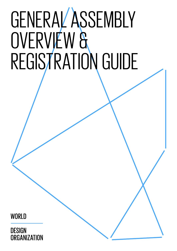# GENERAL ASSEMBLY OVERVIEW & REGISTRATION GUIDE

**WORLD** 

**DESIGN**  $30$  1 th General Assembly Overview  $\mathcal{A}$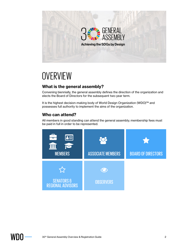

## **OVERVIEW**

#### **What is the general assembly?**

Convening biennially, the general assembly defines the direction of the organization and elects the Board of Directors for the subsequent two-year term.

It is the highest decision-making body of World Design Organization (WDO)™ and possesses full authority to implement the aims of the organization.

#### **Who can attend?**

All members in good standing can attend the general assembly; membership fees must be paid in full in order to be represented.



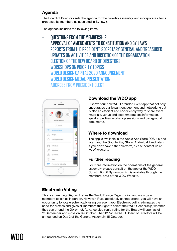#### **Agenda**

The Board of Directors sets the agenda for the two-day assembly, and incorporates items proposed by members as stipulated in By-law 5.

The agenda includes the following items:

- − QUESTIONS FROM THE MEMBERSHIP
- − APPROVAL OF AMENDMENTS TO CONSTITUTION AND BY-LAWS
- − REPORTS FROM THE PRESIDENT, SECRETARY GENERAL AND TREASURER
- − UPDATES ON ACTIVITIES AND DIRECTION OF THE ORGANIZATION
- − ELECTION OF THE NEW BOARD OF DIRECTORS
- − WORKSHOPS ON PRIORITY TOPICS
- − WORLD DESIGN CAPITAL 2020 ANNOUNCEMENT
- − WORLD DESIGN MEDAL PRESENTATION
- − ADDRESS FROM PRESIDENT-ELECT



#### **Download the WDO app**

Discover our new WDO branded event app that not only encourages participant engagement and networking but is also an efficient and eco-friendly way to share event materials, venue and accommodations information, speaker profiles, workshop sessions and background documents.

#### **Where to download**

The app is available in the Apple App Store (iOS 8.0 and later) and the Google Play Store (Android 4.1 and later). If you don't have either platform, please contact us at web@wdo.org.

#### **Further reading**

For more information on the operations of the general assembly, please consult on the app or the WDO Constitution & By-laws, which is available through the members' area of the WDO Website.

#### **Electronic Voting**

This is an exciting GA, our first as the World Design Organization and we urge all members to join us in person. However, if you absolutely cannot attend, you will have an opportunity to vote electronically using our event app. Electronic voting eliminates the need for proxies and gives all members the right to select their WDO leadership, whether they can attend the GA or not. Advance electronic voting for the Board will open as of 12 September and close on 14 October. The 2017-2019 WDO Board of Directors will be announced on Day 2 of the General Assembly, 15 October.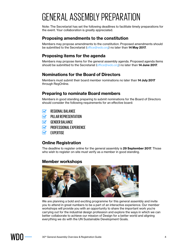## GENERAL ASSEMBLY PREPARATION

Note: The Secretariat has set the following deadlines to facilitate timely preparations for the event. Your collaboration is greatly appreciated.

#### **Proposing amendments to the constitution**

Members may propose amendments to the constitution. Proposed amendments should be submitted to the Secretariat (office@wdo.org) no later than **14 May 2017**.

#### **Proposing items for the agenda**

Members may propose items for the general assembly agenda. Proposed agenda items should be submitted to the Secretariat (office@wdo.org) no later than **14 June 2017**.

#### **Nominations for the Board of Directors**

Members must submit their board member nominations no later than **14 July 2017** through RegOnline.

#### **Preparing to nominate Board members**

Members in good standing preparing to submit nominations for the Board of Directors should consider the following requirements for an effective board:

- REGIONAL BALANCE  $\overline{\mathbf{v}}$
- PILLAR REPRESENTATION  $\mathbf{\widetilde{S}}$
- GENDER BALANCE  $\mathbf{z}$
- PROFESSIONAL EXPERIENCE  $\mathbf{z}$
- **FXPERTISE**  $\mathbf{\nabla}$

#### **Online Registration**

The deadline to register online for the general assembly is **29 September 2017**. Those who wish to register on-site must verify as a member in good standing.

#### **Member workshops**



We are planning a bold and exciting programme for this general assembly and invite you to attend in great numbers to be a part of an interactive experience. Our member workshops will provide you with an opportunity to share the important work you're carrying out for the industrial design profession and explore the ways in which we can better collaborate to achieve our mission of Design for a better world and aligning everything we do with the UN Sustainable Development Goals.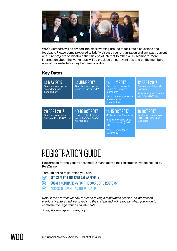

WDO Members will be divided into small working groups to facilitate discussions and feedback. Please come prepared to briefly discuss your organization and any past, current or future projects or initiatives that may be of interest to other WDO Members. More information about the workshops will be provided on our event app and on the members area of our website as they become available.

#### **Key Dates**

| <b>14 MAY 2017</b><br>Deadline to propose<br>amendments to<br>constitution* | <b>14 JUNE 2017</b><br>Deadline to propose<br>items for the agenda*              | <b>14 JULY 2017</b><br>Deadline to nominate<br><b>Board of Directors</b><br>members*<br>Circulation of proposed | <b>12 SEPT 2017</b><br><b>Circulation of Agenda</b><br>Package<br>Electronic voting begins<br>at 10:00 (GMT -5) |
|-----------------------------------------------------------------------------|----------------------------------------------------------------------------------|-----------------------------------------------------------------------------------------------------------------|-----------------------------------------------------------------------------------------------------------------|
|                                                                             |                                                                                  | amendments to<br>constitution                                                                                   |                                                                                                                 |
| <b>29 SEPT 2017</b><br>Deadline to register<br>online at 23:59 (GMT-5)      | 10-16 OCT 2017<br>Torino, City of Design,<br>exhibition, tours, and<br>workshops | 14-15 OCT 2017<br><b>30th General Assembly</b><br>Electronic voting ends<br>14 Oct at 14:00 (GMT<br>$+2)$       | <b>16 OCT 2017</b><br>First board meeting of<br>2017-2019 Board of<br><b>Directors</b>                          |
|                                                                             |                                                                                  | <b>World Design Medal</b><br>Ceremony                                                                           |                                                                                                                 |

## REGISTRATION GUIDE

Registration for the general assembly is managed via the registration system hosted by RegOnline.

Through online registration you can:

- REGISTER FOR THE GENERAL ASSEMBLY  $\blacktriangledown$
- SUBMIT NOMINATIONS FOR THE BOARD OF DIRECTORS\*  $\mathbf{\widetilde{S}}$
- ACCESS & DOWNLOAD THE WDO APP  $\overline{\mathbf{V}}$

*Note: If the browser window is closed during a registration session, all information previously entered will be saved into the system and will reappear when you log in to complete the registration at a later date.*

*\*Voting Members in good standing only*

WHI